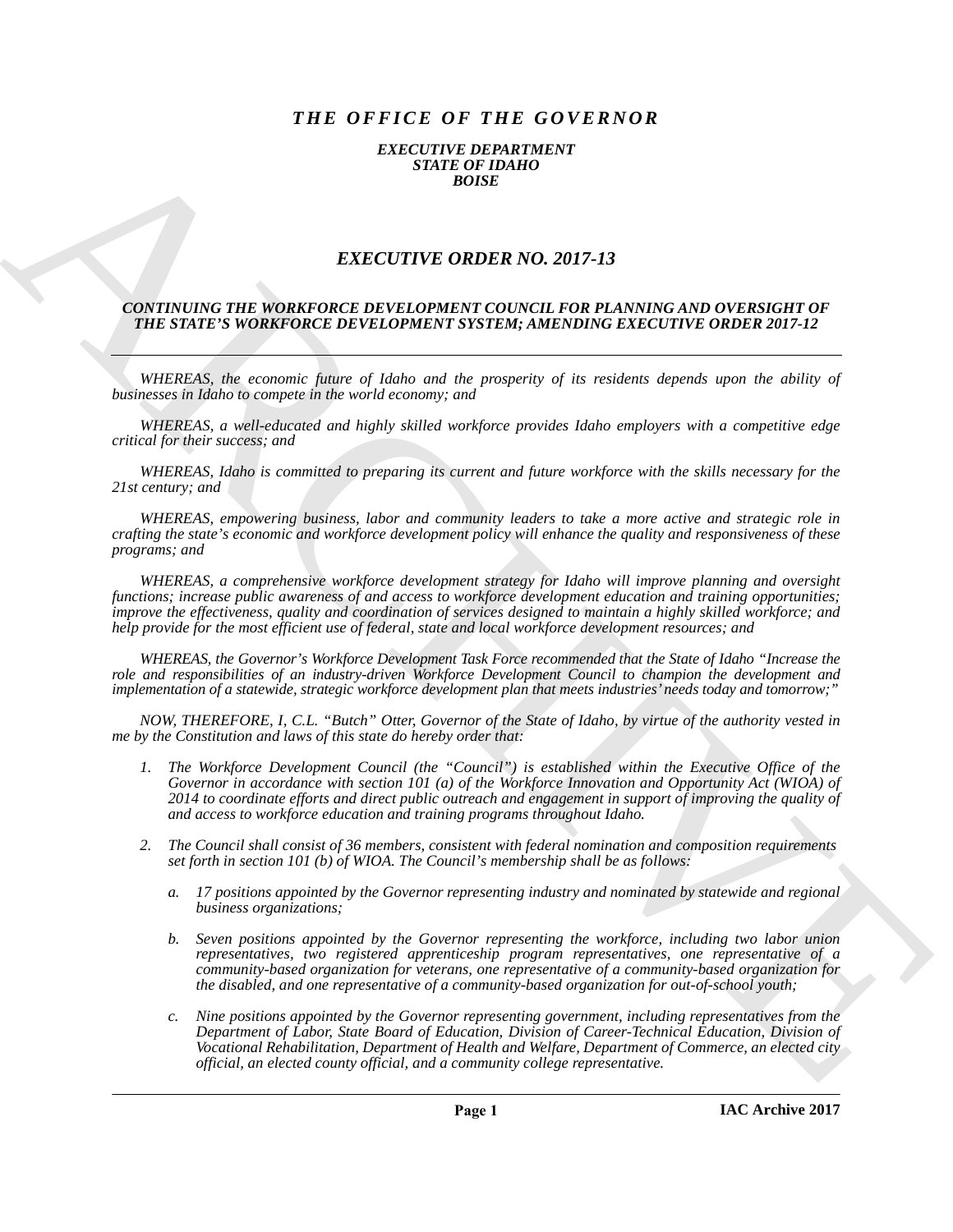## *THE OFFICE OF THE GOVERNOR*

## *EXECUTIVE DEPARTMENT STATE OF IDAHO BOISE*

## *EXECUTIVE ORDER NO. 2017-13*

## *CONTINUING THE WORKFORCE DEVELOPMENT COUNCIL FOR PLANNING AND OVERSIGHT OF THE STATE'S WORKFORCE DEVELOPMENT SYSTEM; AMENDING EXECUTIVE ORDER 2017-12*

*WHEREAS, the economic future of Idaho and the prosperity of its residents depends upon the ability of businesses in Idaho to compete in the world economy; and*

*WHEREAS, a well-educated and highly skilled workforce provides Idaho employers with a competitive edge critical for their success; and*

*WHEREAS, Idaho is committed to preparing its current and future workforce with the skills necessary for the 21st century; and*

*WHEREAS, empowering business, labor and community leaders to take a more active and strategic role in crafting the state's economic and workforce development policy will enhance the quality and responsiveness of these programs; and*

EXACTLEDURE MORE NOT 2017-13<br>
EXACTLEDURE NOT 2017-13<br>
EXACTLEDURE NOT 2017-13<br>
CONTENTING THE WORKFORCE DEFINITIVE ORDER NOT 2017-13<br>
CONTENTING THE WORKFORCE DEVELOPMENT SYSTEMS, ALTOSTANNO EXPLUSIVE ORDER 2017-13<br>
THE *WHEREAS, a comprehensive workforce development strategy for Idaho will improve planning and oversight functions; increase public awareness of and access to workforce development education and training opportunities; improve the effectiveness, quality and coordination of services designed to maintain a highly skilled workforce; and help provide for the most efficient use of federal, state and local workforce development resources; and*

*WHEREAS, the Governor's Workforce Development Task Force recommended that the State of Idaho "Increase the role and responsibilities of an industry-driven Workforce Development Council to champion the development and implementation of a statewide, strategic workforce development plan that meets industries' needs today and tomorrow;"*

*NOW, THEREFORE, I, C.L. "Butch" Otter, Governor of the State of Idaho, by virtue of the authority vested in me by the Constitution and laws of this state do hereby order that:*

- *1. The Workforce Development Council (the "Council") is established within the Executive Office of the Governor in accordance with section 101 (a) of the Workforce Innovation and Opportunity Act (WIOA) of 2014 to coordinate efforts and direct public outreach and engagement in support of improving the quality of and access to workforce education and training programs throughout Idaho.*
- *2. The Council shall consist of 36 members, consistent with federal nomination and composition requirements set forth in section 101 (b) of WIOA. The Council's membership shall be as follows:*
	- *a. 17 positions appointed by the Governor representing industry and nominated by statewide and regional business organizations;*
	- *b. Seven positions appointed by the Governor representing the workforce, including two labor union representatives, two registered apprenticeship program representatives, one representative of a community-based organization for veterans, one representative of a community-based organization for the disabled, and one representative of a community-based organization for out-of-school youth;*
	- *c. Nine positions appointed by the Governor representing government, including representatives from the Department of Labor, State Board of Education, Division of Career-Technical Education, Division of Vocational Rehabilitation, Department of Health and Welfare, Department of Commerce, an elected city official, an elected county official, and a community college representative.*